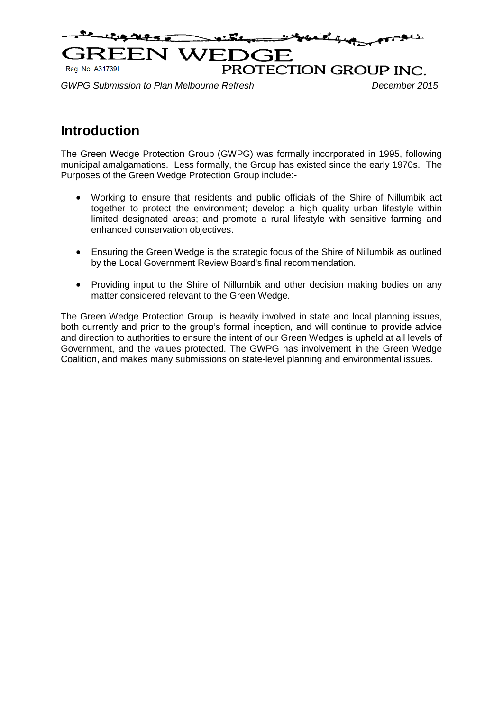

# **Introduction**

The Green Wedge Protection Group (GWPG) was formally incorporated in 1995, following municipal amalgamations. Less formally, the Group has existed since the early 1970s. The Purposes of the Green Wedge Protection Group include:-

- Working to ensure that residents and public officials of the Shire of Nillumbik act together to protect the environment; develop a high quality urban lifestyle within limited designated areas; and promote a rural lifestyle with sensitive farming and enhanced conservation objectives.
- Ensuring the Green Wedge is the strategic focus of the Shire of Nillumbik as outlined by the Local Government Review Board's final recommendation.
- Providing input to the Shire of Nillumbik and other decision making bodies on any matter considered relevant to the Green Wedge.

The Green Wedge Protection Group is heavily involved in state and local planning issues, both currently and prior to the group's formal inception, and will continue to provide advice and direction to authorities to ensure the intent of our Green Wedges is upheld at all levels of Government, and the values protected. The GWPG has involvement in the Green Wedge Coalition, and makes many submissions on state-level planning and environmental issues.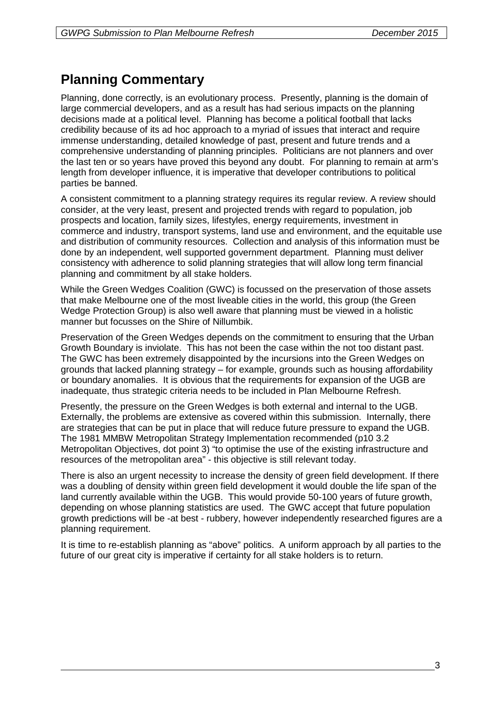# **Planning Commentary**

Planning, done correctly, is an evolutionary process. Presently, planning is the domain of large commercial developers, and as a result has had serious impacts on the planning decisions made at a political level. Planning has become a political football that lacks credibility because of its ad hoc approach to a myriad of issues that interact and require immense understanding, detailed knowledge of past, present and future trends and a comprehensive understanding of planning principles. Politicians are not planners and over the last ten or so years have proved this beyond any doubt. For planning to remain at arm's length from developer influence, it is imperative that developer contributions to political parties be banned.

A consistent commitment to a planning strategy requires its regular review. A review should consider, at the very least, present and projected trends with regard to population, job prospects and location, family sizes, lifestyles, energy requirements, investment in commerce and industry, transport systems, land use and environment, and the equitable use and distribution of community resources. Collection and analysis of this information must be done by an independent, well supported government department. Planning must deliver consistency with adherence to solid planning strategies that will allow long term financial planning and commitment by all stake holders.

While the Green Wedges Coalition (GWC) is focussed on the preservation of those assets that make Melbourne one of the most liveable cities in the world, this group (the Green Wedge Protection Group) is also well aware that planning must be viewed in a holistic manner but focusses on the Shire of Nillumbik.

Preservation of the Green Wedges depends on the commitment to ensuring that the Urban Growth Boundary is inviolate. This has not been the case within the not too distant past. The GWC has been extremely disappointed by the incursions into the Green Wedges on grounds that lacked planning strategy – for example, grounds such as housing affordability or boundary anomalies. It is obvious that the requirements for expansion of the UGB are inadequate, thus strategic criteria needs to be included in Plan Melbourne Refresh.

Presently, the pressure on the Green Wedges is both external and internal to the UGB. Externally, the problems are extensive as covered within this submission. Internally, there are strategies that can be put in place that will reduce future pressure to expand the UGB. The 1981 MMBW Metropolitan Strategy Implementation recommended (p10 3.2 Metropolitan Objectives, dot point 3) "to optimise the use of the existing infrastructure and resources of the metropolitan area" - this objective is still relevant today.

There is also an urgent necessity to increase the density of green field development. If there was a doubling of density within green field development it would double the life span of the land currently available within the UGB. This would provide 50-100 years of future growth, depending on whose planning statistics are used. The GWC accept that future population growth predictions will be -at best - rubbery, however independently researched figures are a planning requirement.

It is time to re-establish planning as "above" politics. A uniform approach by all parties to the future of our great city is imperative if certainty for all stake holders is to return.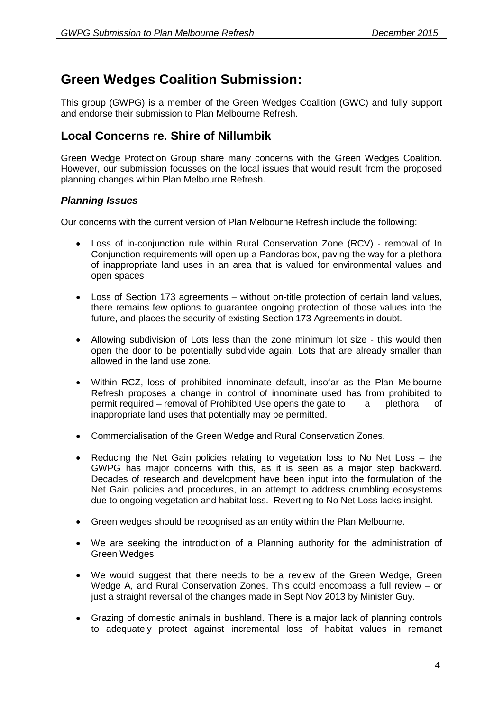## **Green Wedges Coalition Submission:**

This group (GWPG) is a member of the Green Wedges Coalition (GWC) and fully support and endorse their submission to Plan Melbourne Refresh.

### **Local Concerns re. Shire of Nillumbik**

Green Wedge Protection Group share many concerns with the Green Wedges Coalition. However, our submission focusses on the local issues that would result from the proposed planning changes within Plan Melbourne Refresh.

### *Planning Issues*

Our concerns with the current version of Plan Melbourne Refresh include the following:

- Loss of in-conjunction rule within Rural Conservation Zone (RCV) removal of In Conjunction requirements will open up a Pandoras box, paving the way for a plethora of inappropriate land uses in an area that is valued for environmental values and open spaces
- Loss of Section 173 agreements without on-title protection of certain land values, there remains few options to guarantee ongoing protection of those values into the future, and places the security of existing Section 173 Agreements in doubt.
- Allowing subdivision of Lots less than the zone minimum lot size this would then open the door to be potentially subdivide again, Lots that are already smaller than allowed in the land use zone.
- Within RCZ, loss of prohibited innominate default, insofar as the Plan Melbourne Refresh proposes a change in control of innominate used has from prohibited to permit required – removal of Prohibited Use opens the gate to a plethora of inappropriate land uses that potentially may be permitted.
- Commercialisation of the Green Wedge and Rural Conservation Zones.
- Reducing the Net Gain policies relating to vegetation loss to No Net Loss the GWPG has major concerns with this, as it is seen as a major step backward. Decades of research and development have been input into the formulation of the Net Gain policies and procedures, in an attempt to address crumbling ecosystems due to ongoing vegetation and habitat loss. Reverting to No Net Loss lacks insight.
- Green wedges should be recognised as an entity within the Plan Melbourne.
- We are seeking the introduction of a Planning authority for the administration of Green Wedges.
- We would suggest that there needs to be a review of the Green Wedge, Green Wedge A, and Rural Conservation Zones. This could encompass a full review – or just a straight reversal of the changes made in Sept Nov 2013 by Minister Guy.
- Grazing of domestic animals in bushland. There is a major lack of planning controls to adequately protect against incremental loss of habitat values in remanet